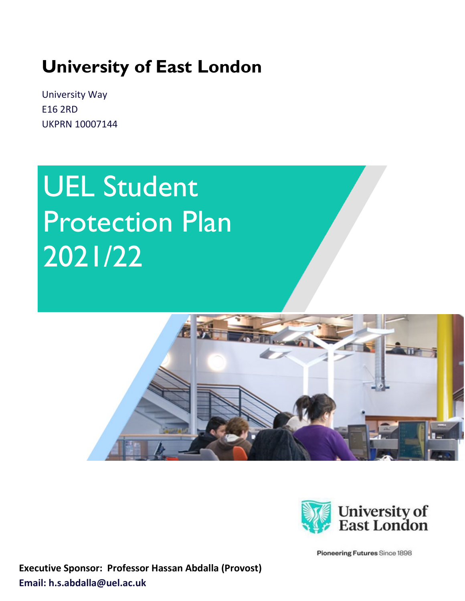# **University of East London**

University Way E16 2RD UKPRN 10007144

# UEL Student Protection Plan 2021/22





Pioneering Futures Since 1898

**Executive Sponsor: Professor Hassan Abdalla (Provost) Email: h.s.abdalla@uel.ac.uk**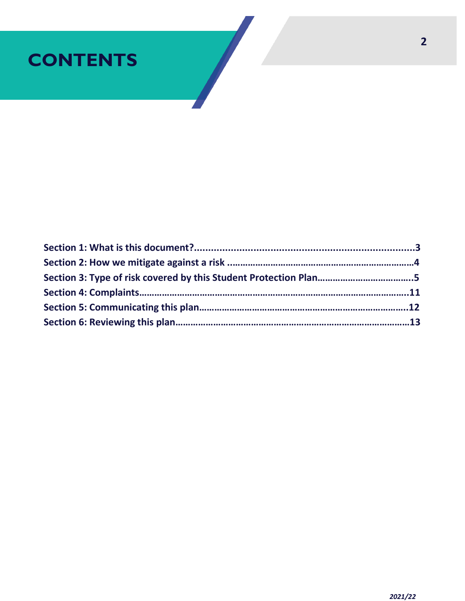# **CONTENTS**

**2**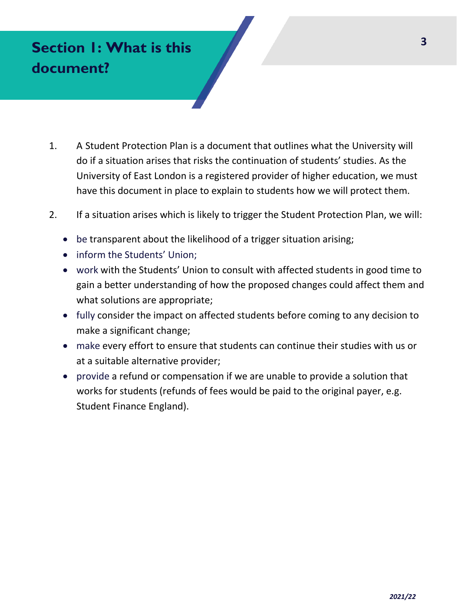# **<sup>3</sup> Section 1: What is this document?**

- 1. A Student Protection Plan is a document that outlines what the University will do if a situation arises that risks the continuation of students' studies. As the University of East London is a registered provider of higher education, we must have this document in place to explain to students how we will protect them.
- 2. If a situation arises which is likely to trigger the Student Protection Plan, we will:
	- be transparent about the likelihood of a trigger situation arising;
	- inform the Students' Union;
	- work with the Students' Union to consult with affected students in good time to gain a better understanding of how the proposed changes could affect them and what solutions are appropriate;
	- fully consider the impact on affected students before coming to any decision to make a significant change;
	- make every effort to ensure that students can continue their studies with us or at a suitable alternative provider;
	- provide a refund or compensation if we are unable to provide a solution that works for students (refunds of fees would be paid to the original payer, e.g. Student Finance England).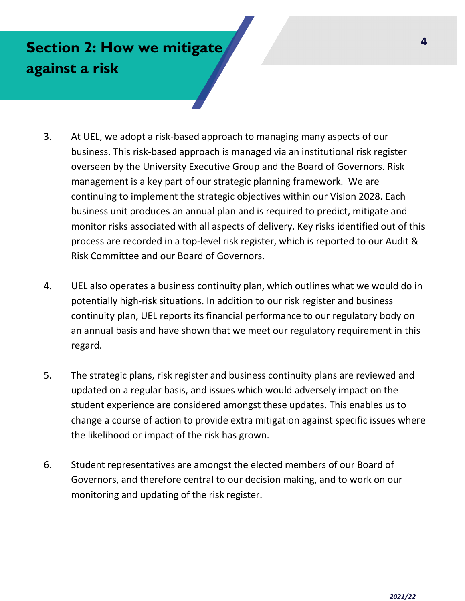# **<sup>4</sup> Section 2: How we mitigate against a risk**

- 3. At UEL, we adopt a risk-based approach to managing many aspects of our business. This risk-based approach is managed via an institutional risk register overseen by the University Executive Group and the Board of Governors. Risk management is a key part of our strategic planning framework. We are continuing to implement the strategic objectives within our Vision 2028. Each business unit produces an annual plan and is required to predict, mitigate and monitor risks associated with all aspects of delivery. Key risks identified out of this process are recorded in a top-level risk register, which is reported to our Audit & Risk Committee and our Board of Governors.
- 4. UEL also operates a business continuity plan, which outlines what we would do in potentially high-risk situations. In addition to our risk register and business continuity plan, UEL reports its financial performance to our regulatory body on an annual basis and have shown that we meet our regulatory requirement in this regard.
- 5. The strategic plans, risk register and business continuity plans are reviewed and updated on a regular basis, and issues which would adversely impact on the student experience are considered amongst these updates. This enables us to change a course of action to provide extra mitigation against specific issues where the likelihood or impact of the risk has grown.
- 6. Student representatives are amongst the elected members of our Board of Governors, and therefore central to our decision making, and to work on our monitoring and updating of the risk register.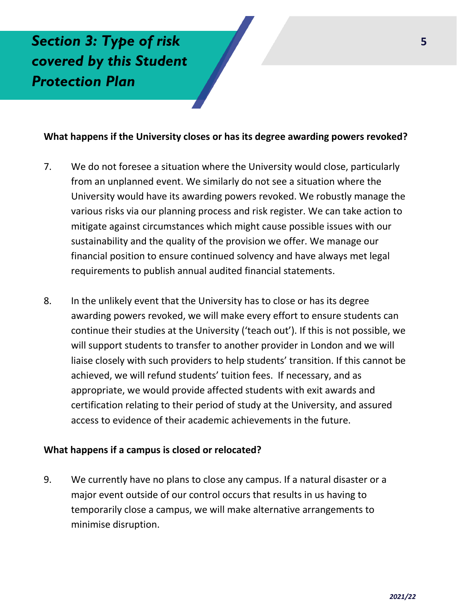## *Section 3: Type of risk* **5** *covered by this Student Protection Plan*

#### **What happens if the University closes or has its degree awarding powers revoked?**

- 7. We do not foresee a situation where the University would close, particularly from an unplanned event. We similarly do not see a situation where the University would have its awarding powers revoked. We robustly manage the various risks via our planning process and risk register. We can take action to mitigate against circumstances which might cause possible issues with our sustainability and the quality of the provision we offer. We manage our financial position to ensure continued solvency and have always met legal requirements to publish annual audited financial statements.
- 8. In the unlikely event that the University has to close or has its degree awarding powers revoked, we will make every effort to ensure students can continue their studies at the University ('teach out'). If this is not possible, we will support students to transfer to another provider in London and we will liaise closely with such providers to help students' transition. If this cannot be achieved, we will refund students' tuition fees. If necessary, and as appropriate, we would provide affected students with exit awards and certification relating to their period of study at the University, and assured access to evidence of their academic achievements in the future.

#### **What happens if a campus is closed or relocated?**

9. We currently have no plans to close any campus. If a natural disaster or a major event outside of our control occurs that results in us having to temporarily close a campus, we will make alternative arrangements to minimise disruption.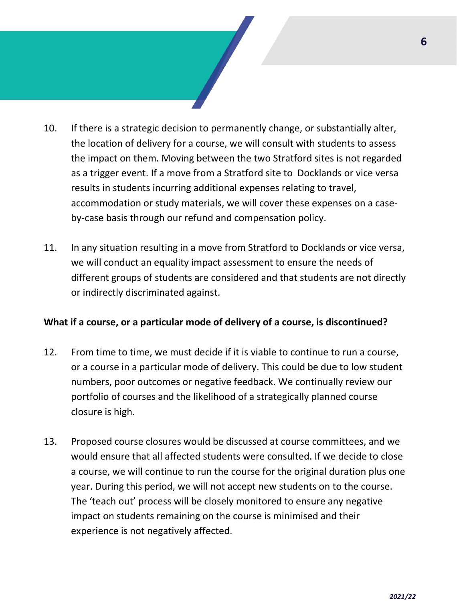- 10. If there is a strategic decision to permanently change, or substantially alter, the location of delivery for a course, we will consult with students to assess the impact on them. Moving between the two Stratford sites is not regarded as a trigger event. If a move from a Stratford site to Docklands or vice versa results in students incurring additional expenses relating to travel, accommodation or study materials, we will cover these expenses on a caseby-case basis through our refund and compensation policy.
- 11. In any situation resulting in a move from Stratford to Docklands or vice versa, we will conduct an equality impact assessment to ensure the needs of different groups of students are considered and that students are not directly or indirectly discriminated against.

#### **What if a course, or a particular mode of delivery of a course, is discontinued?**

- 12. From time to time, we must decide if it is viable to continue to run a course, or a course in a particular mode of delivery. This could be due to low student numbers, poor outcomes or negative feedback. We continually review our portfolio of courses and the likelihood of a strategically planned course closure is high.
- 13. Proposed course closures would be discussed at course committees, and we would ensure that all affected students were consulted. If we decide to close a course, we will continue to run the course for the original duration plus one year. During this period, we will not accept new students on to the course. The 'teach out' process will be closely monitored to ensure any negative impact on students remaining on the course is minimised and their experience is not negatively affected.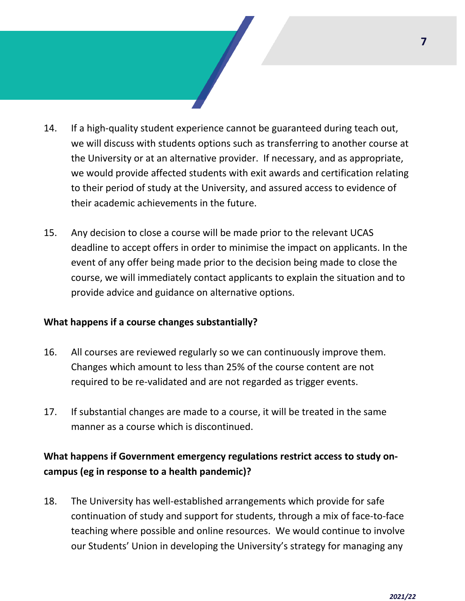- 14. If a high-quality student experience cannot be guaranteed during teach out, we will discuss with students options such as transferring to another course at the University or at an alternative provider. If necessary, and as appropriate, we would provide affected students with exit awards and certification relating to their period of study at the University, and assured access to evidence of their academic achievements in the future.
- 15. Any decision to close a course will be made prior to the relevant UCAS deadline to accept offers in order to minimise the impact on applicants. In the event of any offer being made prior to the decision being made to close the course, we will immediately contact applicants to explain the situation and to provide advice and guidance on alternative options.

#### **What happens if a course changes substantially?**

- 16. All courses are reviewed regularly so we can continuously improve them. Changes which amount to less than 25% of the course content are not required to be re-validated and are not regarded as trigger events.
- 17. If substantial changes are made to a course, it will be treated in the same manner as a course which is discontinued.

#### **What happens if Government emergency regulations restrict access to study oncampus (eg in response to a health pandemic)?**

18. The University has well-established arrangements which provide for safe continuation of study and support for students, through a mix of face-to-face teaching where possible and online resources. We would continue to involve our Students' Union in developing the University's strategy for managing any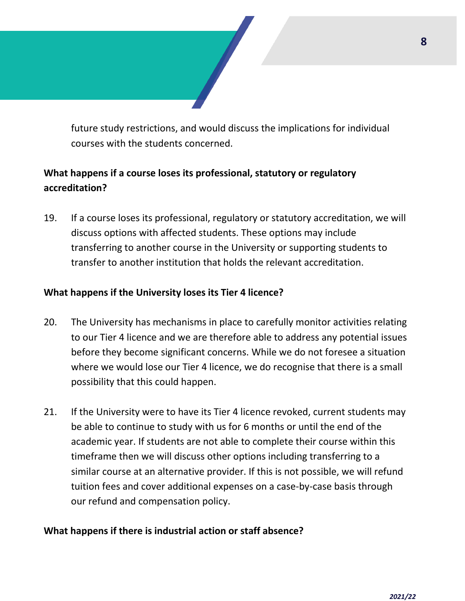future study restrictions, and would discuss the implications for individual courses with the students concerned.

#### **What happens if a course loses its professional, statutory or regulatory accreditation?**

19. If a course loses its professional, regulatory or statutory accreditation, we will discuss options with affected students. These options may include transferring to another course in the University or supporting students to transfer to another institution that holds the relevant accreditation.

#### **What happens if the University loses its Tier 4 licence?**

- 20. The University has mechanisms in place to carefully monitor activities relating to our Tier 4 licence and we are therefore able to address any potential issues before they become significant concerns. While we do not foresee a situation where we would lose our Tier 4 licence, we do recognise that there is a small possibility that this could happen.
- 21. If the University were to have its Tier 4 licence revoked, current students may be able to continue to study with us for 6 months or until the end of the academic year. If students are not able to complete their course within this timeframe then we will discuss other options including transferring to a similar course at an alternative provider. If this is not possible, we will refund tuition fees and cover additional expenses on a case-by-case basis through our refund and compensation policy.

#### **What happens if there is industrial action or staff absence?**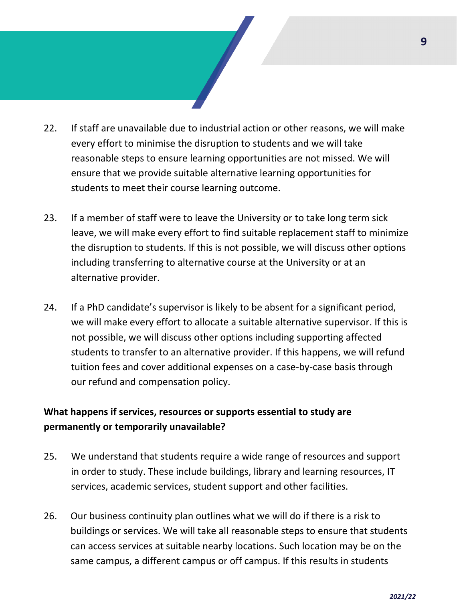- 22. If staff are unavailable due to industrial action or other reasons, we will make every effort to minimise the disruption to students and we will take reasonable steps to ensure learning opportunities are not missed. We will ensure that we provide suitable alternative learning opportunities for students to meet their course learning outcome.
- 23. If a member of staff were to leave the University or to take long term sick leave, we will make every effort to find suitable replacement staff to minimize the disruption to students. If this is not possible, we will discuss other options including transferring to alternative course at the University or at an alternative provider.
- 24. If a PhD candidate's supervisor is likely to be absent for a significant period, we will make every effort to allocate a suitable alternative supervisor. If this is not possible, we will discuss other options including supporting affected students to transfer to an alternative provider. If this happens, we will refund tuition fees and cover additional expenses on a case-by-case basis through our refund and compensation policy.

#### **What happens if services, resources or supports essential to study are permanently or temporarily unavailable?**

- 25. We understand that students require a wide range of resources and support in order to study. These include buildings, library and learning resources, IT services, academic services, student support and other facilities.
- 26. Our business continuity plan outlines what we will do if there is a risk to buildings or services. We will take all reasonable steps to ensure that students can access services at suitable nearby locations. Such location may be on the same campus, a different campus or off campus. If this results in students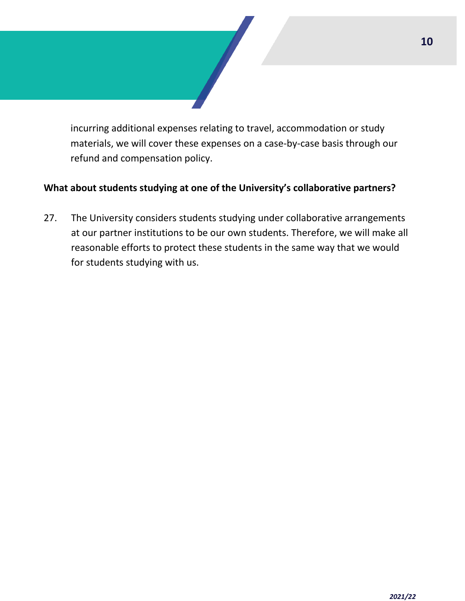incurring additional expenses relating to travel, accommodation or study materials, we will cover these expenses on a case-by-case basis through our refund and compensation policy.

#### **What about students studying at one of the University's collaborative partners?**

27. The University considers students studying under collaborative arrangements at our partner institutions to be our own students. Therefore, we will make all reasonable efforts to protect these students in the same way that we would for students studying with us.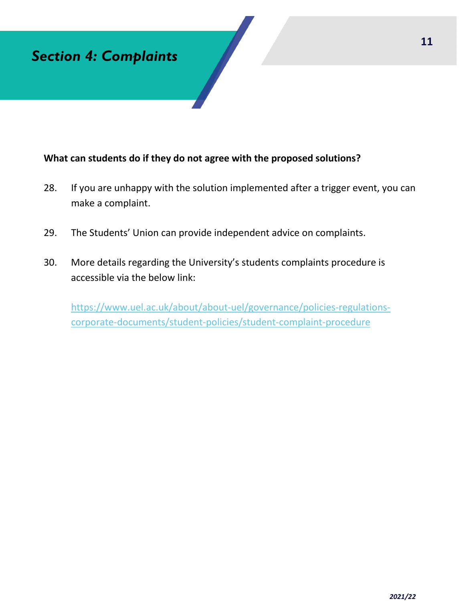### *Section 4: Complaints*

#### **What can students do if they do not agree with the proposed solutions?**

- 28. If you are unhappy with the solution implemented after a trigger event, you can make a complaint.
- 29. The Students' Union can provide independent advice on complaints.
- 30. More details regarding the University's students complaints procedure is accessible via the below link:

[https://www.uel.ac.uk/about/about-uel/governance/policies-regulations](https://www.uel.ac.uk/about/about-uel/governance/policies-regulations-corporate-documents/student-policies/student-complaint-procedure)[corporate-documents/student-policies/student-complaint-procedure](https://www.uel.ac.uk/about/about-uel/governance/policies-regulations-corporate-documents/student-policies/student-complaint-procedure)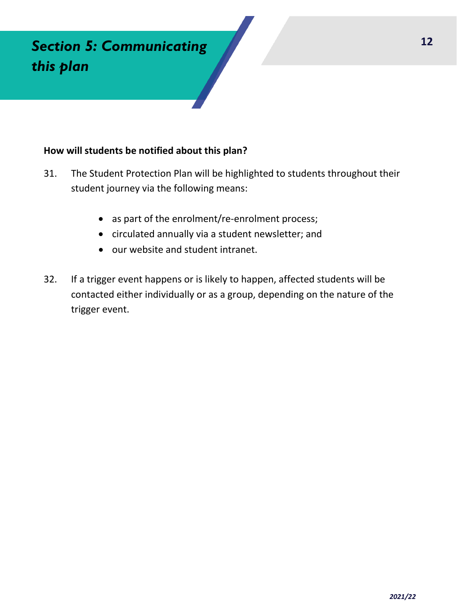## *Section 5: Communicating this plan*

#### **How will students be notified about this plan?**

- 31. The Student Protection Plan will be highlighted to students throughout their student journey via the following means:
	- as part of the enrolment/re-enrolment process;
	- circulated annually via a student newsletter; and
	- our website and student intranet.
- 32. If a trigger event happens or is likely to happen, affected students will be contacted either individually or as a group, depending on the nature of the trigger event.